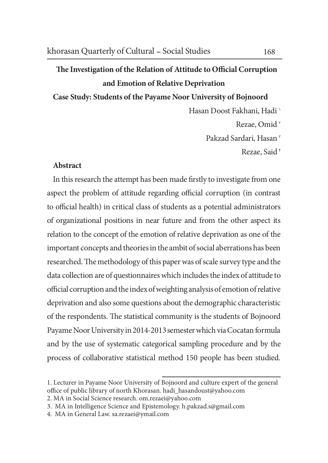## The Investigation of the Relation of Attitude to Official Corruption and Emotion of Relative Deprivation

Case Study: Students of the Payame Noor University of Bojnoord

Hasan Doost Fakhani, Hadi <sup>1</sup> Rezae, Omid<sup>x</sup> Pakzad Sardari, Hasan<sup>r</sup> Rezae, Said<sup>\*</sup>

## Abstract

In this research the attempt has been made firstly to investigate from one aspect the problem of attitude regarding official corruption (in contrast to official health) in critical class of students as a potential administrators of organizational positions in near future and from the other aspect its relation to the concept of the emotion of relative deprivation as one of the important concepts and theories in the ambit of social aberrations has been researched. The methodology of this paper was of scale survey type and the data collection are of questionnaires which includes the index of attitude to official corruption and the index of weighting analysis of emotion of relative deprivation and also some questions about the demographic characteristic of the respondents. The statistical community is the students of Bojnoord Payame Noor University in 2014-2013 semester which via Cocatan formula and by the use of systematic categorical sampling procedure and by the process of collaborative statistical method 150 people has been studied.

<sup>1.</sup> Lecturer in Payame Noor University of Bojnoord and culture expert of the general office of public library of north Khorasan. hadi\_hasandoust@yahoo.com

<sup>2.</sup> MA in Social Science research. om.rezaei@yahoo.com

<sup>3.</sup> MA in Intelligence Science and Epistemology. h.pakzad.s@gmail.com

<sup>4.</sup> MA in General Law. sa.rezaei@ymail.com